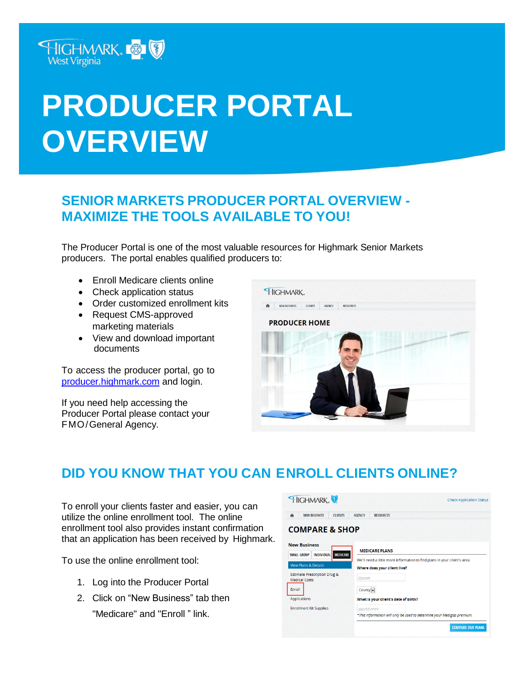

# **PRODUCER PORTAL OVERVIEW**

#### **SENIOR MARKETS PRODUCER PORTAL OVERVIEW - MAXIMIZE THE TOOLS AVAILABLE TO YOU!**

The Producer Portal is one of the most valuable resources for Highmark Senior Markets producers. The portal enables qualified producers to:

- Enroll Medicare clients online
- Check application status
- Order customized enrollment kits
- Request CMS-approved marketing materials
- View and download important documents

To access the producer portal, go to [producer.highmark.com](http://www.highmarkbcbs.com/) and login.

If you need help accessing the Producer Portal please contact your FMO/General Agency.



## **DID YOU KNOW THAT YOU CAN ENROLL CLIENTS ONLINE?**

To enroll your clients faster and easier, you can utilize the online enrollment tool. The online enrollment tool also provides instant confirmation that an application has been received by Highmark.

To use the online enrollment tool:

- 1. Log into the Producer Portal
- 2. Click on "New Business" tab then "Medicare" and "Enroll " link.

| HIGHMARK.                                                                         |                                                                                                           | <b>Check Application Status</b> |
|-----------------------------------------------------------------------------------|-----------------------------------------------------------------------------------------------------------|---------------------------------|
| <b>NEW BUSINESS</b><br><b>CLIENTS</b><br>舎                                        | <b>AGENCY</b><br><b>RESOURCES</b>                                                                         |                                 |
| <b>COMPARE &amp; SHOP</b>                                                         |                                                                                                           |                                 |
| <b>New Business</b><br><b>MEDICARE</b><br><b>SMALL GROUP</b><br><b>INDIVIDUAL</b> | <b>MEDICARE PLANS</b>                                                                                     |                                 |
| <b>View Plans &amp; Details</b>                                                   | We'll need a little more information to find plans in your client's area.<br>Where does your client live? |                                 |
| <b>Estimate Prescription Drug &amp;</b><br><b>Medical Costs</b>                   | Zincode                                                                                                   |                                 |
| Enroll<br>Applications                                                            | $Countv =$<br>What is your client's date of birth?                                                        |                                 |
| <b>Enrollment Kit Supplies</b>                                                    | <b>MM/DD/YYYY</b><br>*This information will only be used to determine your Medigap premium.               |                                 |
|                                                                                   |                                                                                                           | <b>COMPARE OUR PLANS</b>        |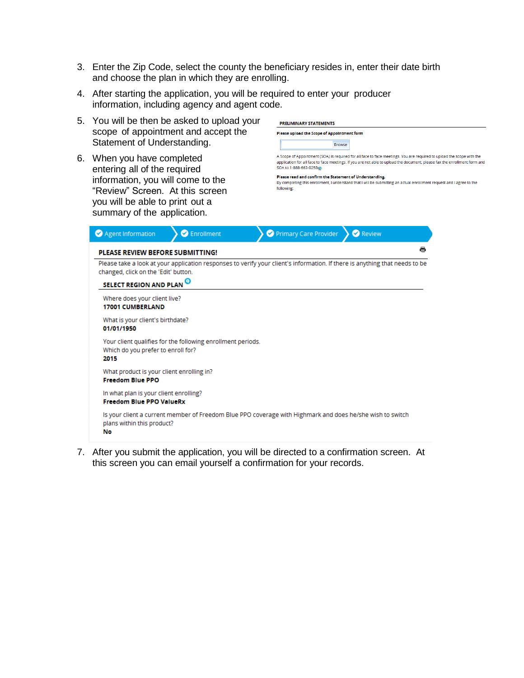- 3. Enter the Zip Code, select the county the beneficiary resides in, enter their date birth and choose the plan in which they are enrolling.
- 4. After starting the application, you will be required to enter your producer information, including agency and agent code.



7. After you submit the application, you will be directed to a confirmation screen. At this screen you can email yourself a confirmation for your records.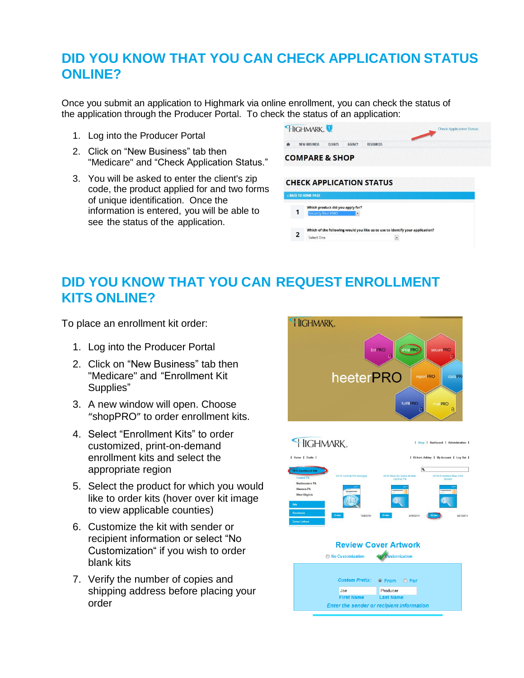### **DID YOU KNOW THAT YOU CAN CHECK APPLICATION STATUS ONLINE?**

Once you submit an application to Highmark via online enrollment, you can check the status of the application through the Producer Portal. To check the status of an application:

- 1. Log into the Producer Portal
- 2. Click on "New Business" tab then "Medicare" and "Check Application Status."
- 3. You will be asked to enter the client's zip code, the product applied for and two forms of unique identification. Once the information is entered, you will be able to see the status of the application.

|   | HIGHMARK.                 |                |                                       |                                                                               | $\overline{\phantom{0}}$ | <b>Check Application Status</b> |  |
|---|---------------------------|----------------|---------------------------------------|-------------------------------------------------------------------------------|--------------------------|---------------------------------|--|
| 舎 | <b>NEW BUSINESS</b>       | <b>CLIENTS</b> | <b>AGENCY</b>                         | <b>RESOURCES</b>                                                              |                          |                                 |  |
|   | <b>COMPARE &amp; SHOP</b> |                |                                       |                                                                               |                          |                                 |  |
|   |                           |                |                                       |                                                                               |                          |                                 |  |
|   |                           |                |                                       | <b>CHECK APPLICATION STATUS</b>                                               |                          |                                 |  |
|   | « BACK TO HOME PAGE       |                |                                       |                                                                               |                          |                                 |  |
| 1 | <b>Security Blue HMO</b>  |                | Which product did you apply for?<br>۰ |                                                                               |                          |                                 |  |
|   |                           |                |                                       | Which of the following would you like us to use to identify your application? |                          |                                 |  |

#### **DID YOU KNOW THAT YOU CAN REQUEST ENROLLMENT KITS ONLINE?**

To place an enrollment kit order:

- 1. Log into the Producer Portal
- 2. Click on "New Business" tab then "Medicare" and "Enrollment Kit Supplies"
- 3. A new window will open. Choose "shopPRO" to order enrollment kits.
- 4. Select "Enrollment Kits" to order customized, print-on-demand enrollment kits and select the appropriate region
- 5. Select the product for which you would like to order kits (hover over kit image to view applicable counties)
- 6. Customize the kit with sender or recipient information or select "No Customization" if you wish to order blank kits
- 7. Verify the number of copies and shipping address before placing your order